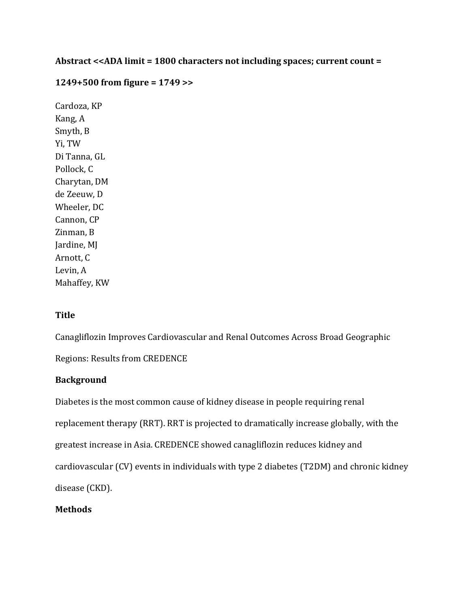# Abstract <<ADA limit = 1800 characters not including spaces; current count =

## **1249+500 from figure = 1749 >>**

Cardoza, KP Kang, A Smyth, B Yi, TW Di Tanna, GL Pollock, C Charytan, DM de Zeeuw, D Wheeler, DC Cannon, CP Zinman, B Jardine, MJ Arnott, C Levin, A Mahaffey, KW

### **Title**

Canagliflozin Improves Cardiovascular and Renal Outcomes Across Broad Geographic

Regions: Results from CREDENCE

# **Background**

Diabetes is the most common cause of kidney disease in people requiring renal replacement therapy (RRT). RRT is projected to dramatically increase globally, with the greatest increase in Asia. CREDENCE showed canagliflozin reduces kidney and cardiovascular (CV) events in individuals with type 2 diabetes (T2DM) and chronic kidney disease (CKD).

### **Methods**